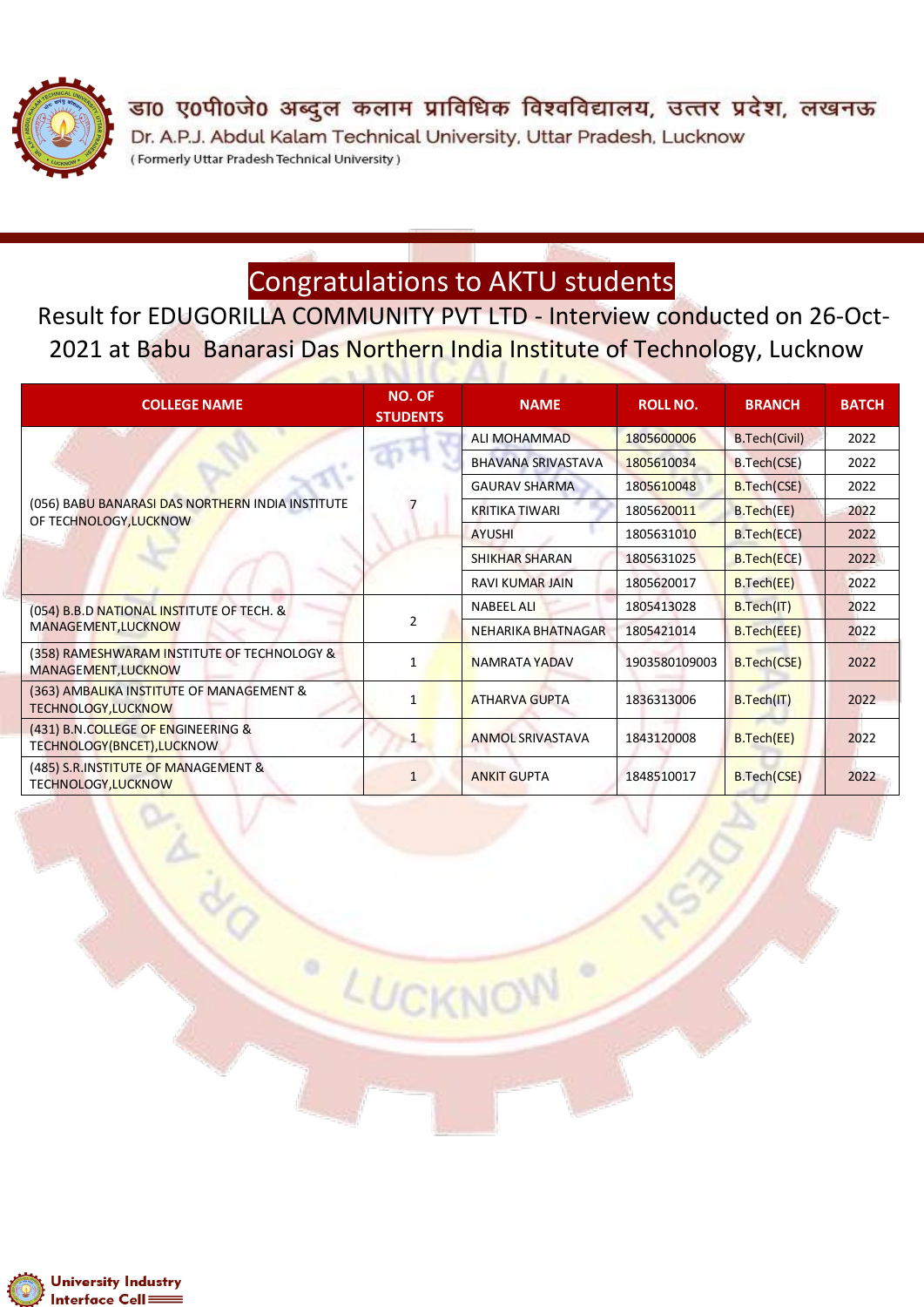

डा0 ए0पी0जे0 अब्दुल कलाम प्राविधिक विश्वविद्यालय, उत्तर प्रदेश, लखनऊ Dr. A.P.J. Abdul Kalam Technical University, Uttar Pradesh, Lucknow (Formerly Uttar Pradesh Technical University)

## Congratulations to AKTU students

Result for EDUGORILLA COMMUNITY PVT LTD - Interview conducted on 26-Oct-2021 at Babu Banarasi Das Northern India Institute of Technology, Lucknow

| <b>COLLEGE NAME</b>                                                        | <b>NO. OF</b><br><b>STUDENTS</b> | <b>NAME</b>               | <b>ROLL NO.</b> | <b>BRANCH</b>      | <b>BATCH</b> |
|----------------------------------------------------------------------------|----------------------------------|---------------------------|-----------------|--------------------|--------------|
| (056) BABU BANARASI DAS NORTHERN INDIA INSTITUTE<br>OF TECHNOLOGY, LUCKNOW |                                  | ALI MOHAMMAD              | 1805600006      | B.Tech(Civil)      | 2022         |
|                                                                            |                                  | <b>BHAVANA SRIVASTAVA</b> | 1805610034      | <b>B.Tech(CSE)</b> | 2022         |
|                                                                            |                                  | <b>GAURAV SHARMA</b>      | 1805610048      | <b>B.Tech(CSE)</b> | 2022         |
|                                                                            |                                  | <b>KRITIKA TIWARI</b>     | 1805620011      | B.Tech(EE)         | 2022         |
|                                                                            |                                  | <b>AYUSHI</b>             | 1805631010      | <b>B.Tech(ECE)</b> | 2022         |
|                                                                            |                                  | <b>SHIKHAR SHARAN</b>     | 1805631025      | <b>B.Tech(ECE)</b> | 2022         |
|                                                                            |                                  | <b>RAVI KUMAR JAIN</b>    | 1805620017      | <b>B.Tech(EE)</b>  | 2022         |
| (054) B.B.D NATIONAL INSTITUTE OF TECH. &<br>MANAGEMENT, LUCKNOW           | $\overline{2}$                   | <b>NABEEL ALI</b>         | 1805413028      | B.Tech(IT)         | 2022         |
|                                                                            |                                  | NEHARIKA BHATNAGAR        | 1805421014      | <b>B.Tech(EEE)</b> | 2022         |
| (358) RAMESHWARAM INSTITUTE OF TECHNOLOGY &<br>MANAGEMENT, LUCKNOW         | 1                                | <b>NAMRATA YADAV</b>      | 1903580109003   | <b>B.Tech(CSE)</b> | 2022         |
| (363) AMBALIKA INSTITUTE OF MANAGEMENT &<br><b>TECHNOLOGY, LUCKNOW</b>     | $\mathbf{1}$                     | <b>ATHARVA GUPTA</b>      | 1836313006      | B.Tech(IT)         | 2022         |
| (431) B.N.COLLEGE OF ENGINEERING &<br>TECHNOLOGY(BNCET),LUCKNOW            | $\mathbf{1}$                     | <b>ANMOL SRIVASTAVA</b>   | 1843120008      | <b>B.Tech(EE)</b>  | 2022         |
| (485) S.R.INSTITUTE OF MANAGEMENT &<br><b>TECHNOLOGY, LUCKNOW</b>          | 1                                | <b>ANKIT GUPTA</b>        | 1848510017      | <b>B.Tech(CSE)</b> | 2022         |

LUCKNOW

 $\circ$